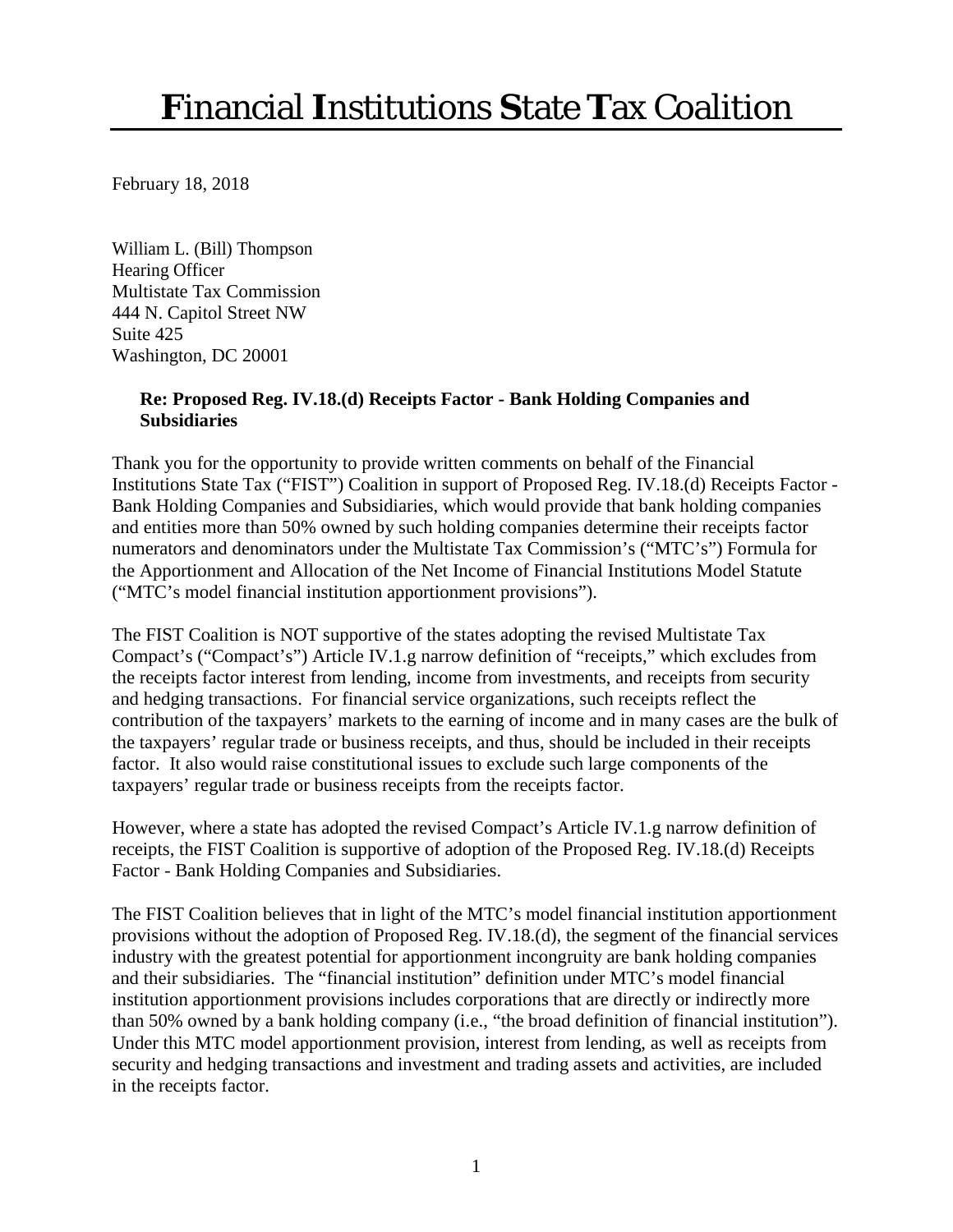## **F**inancial **I**nstitutions **S**tate **T**ax Coalition

February 18, 2018

William L. (Bill) Thompson Hearing Officer Multistate Tax Commission 444 N. Capitol Street NW Suite 425 Washington, DC 20001

## **Re: Proposed Reg. IV.18.(d) Receipts Factor - Bank Holding Companies and Subsidiaries**

Thank you for the opportunity to provide written comments on behalf of the Financial Institutions State Tax ("FIST") Coalition in support of Proposed Reg. IV.18.(d) Receipts Factor - Bank Holding Companies and Subsidiaries, which would provide that bank holding companies and entities more than 50% owned by such holding companies determine their receipts factor numerators and denominators under the Multistate Tax Commission's ("MTC's") Formula for the Apportionment and Allocation of the Net Income of Financial Institutions Model Statute ("MTC's model financial institution apportionment provisions").

The FIST Coalition is NOT supportive of the states adopting the revised Multistate Tax Compact's ("Compact's") Article IV.1.g narrow definition of "receipts," which excludes from the receipts factor interest from lending, income from investments, and receipts from security and hedging transactions. For financial service organizations, such receipts reflect the contribution of the taxpayers' markets to the earning of income and in many cases are the bulk of the taxpayers' regular trade or business receipts, and thus, should be included in their receipts factor. It also would raise constitutional issues to exclude such large components of the taxpayers' regular trade or business receipts from the receipts factor.

However, where a state has adopted the revised Compact's Article IV.1.g narrow definition of receipts, the FIST Coalition is supportive of adoption of the Proposed Reg. IV.18.(d) Receipts Factor - Bank Holding Companies and Subsidiaries.

The FIST Coalition believes that in light of the MTC's model financial institution apportionment provisions without the adoption of Proposed Reg. IV.18.(d), the segment of the financial services industry with the greatest potential for apportionment incongruity are bank holding companies and their subsidiaries. The "financial institution" definition under MTC's model financial institution apportionment provisions includes corporations that are directly or indirectly more than 50% owned by a bank holding company (i.e., "the broad definition of financial institution"). Under this MTC model apportionment provision, interest from lending, as well as receipts from security and hedging transactions and investment and trading assets and activities, are included in the receipts factor.